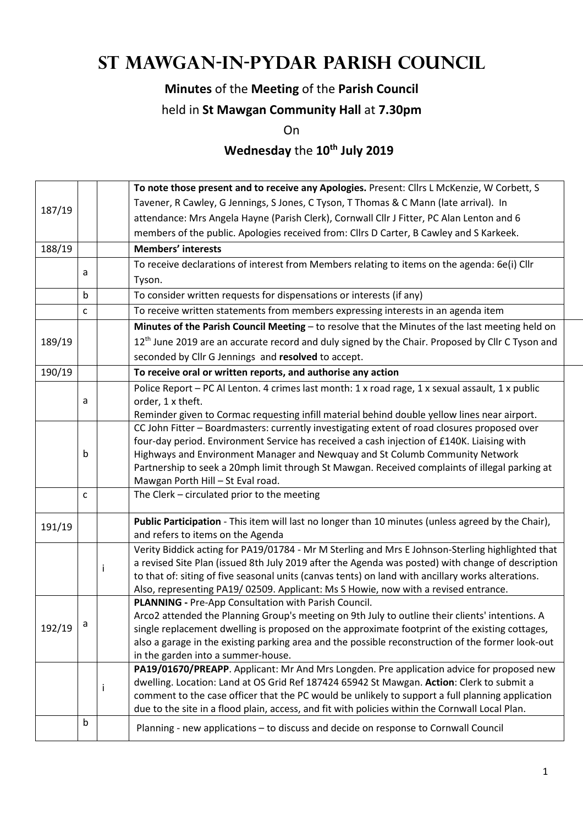# **St Mawgan-in-Pydar Parish Council**

### **Minutes** of the **Meeting** of the **Parish Council**

#### held in **St Mawgan Community Hall** at **7.30pm**

On

## **Wednesday** the **10th July 2019**

|        |   |   | To note those present and to receive any Apologies. Present: Cllrs L McKenzie, W Corbett, S                                                |  |  |  |
|--------|---|---|--------------------------------------------------------------------------------------------------------------------------------------------|--|--|--|
| 187/19 |   |   | Tavener, R Cawley, G Jennings, S Jones, C Tyson, T Thomas & C Mann (late arrival). In                                                      |  |  |  |
|        |   |   | attendance: Mrs Angela Hayne (Parish Clerk), Cornwall Cllr J Fitter, PC Alan Lenton and 6                                                  |  |  |  |
|        |   |   | members of the public. Apologies received from: Cllrs D Carter, B Cawley and S Karkeek.                                                    |  |  |  |
| 188/19 |   |   | <b>Members' interests</b>                                                                                                                  |  |  |  |
|        |   |   | To receive declarations of interest from Members relating to items on the agenda: 6e(i) Cllr                                               |  |  |  |
|        | a |   | Tyson.                                                                                                                                     |  |  |  |
|        | b |   | To consider written requests for dispensations or interests (if any)                                                                       |  |  |  |
|        | C |   | To receive written statements from members expressing interests in an agenda item                                                          |  |  |  |
|        |   |   | Minutes of the Parish Council Meeting - to resolve that the Minutes of the last meeting held on                                            |  |  |  |
| 189/19 |   |   | 12 <sup>th</sup> June 2019 are an accurate record and duly signed by the Chair. Proposed by Cllr C Tyson and                               |  |  |  |
|        |   |   | seconded by Cllr G Jennings and resolved to accept.                                                                                        |  |  |  |
| 190/19 |   |   | To receive oral or written reports, and authorise any action                                                                               |  |  |  |
|        |   |   | Police Report - PC Al Lenton. 4 crimes last month: 1 x road rage, 1 x sexual assault, 1 x public                                           |  |  |  |
|        | a |   | order, 1 x theft.                                                                                                                          |  |  |  |
|        |   |   | Reminder given to Cormac requesting infill material behind double yellow lines near airport.                                               |  |  |  |
|        |   |   | CC John Fitter - Boardmasters: currently investigating extent of road closures proposed over                                               |  |  |  |
|        | b |   | four-day period. Environment Service has received a cash injection of £140K. Liaising with                                                 |  |  |  |
|        |   |   | Highways and Environment Manager and Newquay and St Columb Community Network                                                               |  |  |  |
|        |   |   | Partnership to seek a 20mph limit through St Mawgan. Received complaints of illegal parking at<br>Mawgan Porth Hill - St Eval road.        |  |  |  |
|        | C |   | The Clerk - circulated prior to the meeting                                                                                                |  |  |  |
|        |   |   |                                                                                                                                            |  |  |  |
| 191/19 |   |   | Public Participation - This item will last no longer than 10 minutes (unless agreed by the Chair),                                         |  |  |  |
|        |   |   | and refers to items on the Agenda                                                                                                          |  |  |  |
|        |   |   | Verity Biddick acting for PA19/01784 - Mr M Sterling and Mrs E Johnson-Sterling highlighted that                                           |  |  |  |
|        |   | Ť | a revised Site Plan (issued 8th July 2019 after the Agenda was posted) with change of description                                          |  |  |  |
|        |   |   | to that of: siting of five seasonal units (canvas tents) on land with ancillary works alterations.                                         |  |  |  |
|        |   |   | Also, representing PA19/02509. Applicant: Ms S Howie, now with a revised entrance.<br>PLANNING - Pre-App Consultation with Parish Council. |  |  |  |
|        |   |   | Arco2 attended the Planning Group's meeting on 9th July to outline their clients' intentions. A                                            |  |  |  |
| 192/19 | a |   | single replacement dwelling is proposed on the approximate footprint of the existing cottages,                                             |  |  |  |
|        |   |   | also a garage in the existing parking area and the possible reconstruction of the former look-out                                          |  |  |  |
|        |   |   | in the garden into a summer-house.                                                                                                         |  |  |  |
|        |   |   | PA19/01670/PREAPP. Applicant: Mr And Mrs Longden. Pre application advice for proposed new                                                  |  |  |  |
|        |   | İ | dwelling. Location: Land at OS Grid Ref 187424 65942 St Mawgan. Action: Clerk to submit a                                                  |  |  |  |
|        |   |   | comment to the case officer that the PC would be unlikely to support a full planning application                                           |  |  |  |
|        |   |   | due to the site in a flood plain, access, and fit with policies within the Cornwall Local Plan.                                            |  |  |  |
|        | b |   | Planning - new applications - to discuss and decide on response to Cornwall Council                                                        |  |  |  |
|        |   |   |                                                                                                                                            |  |  |  |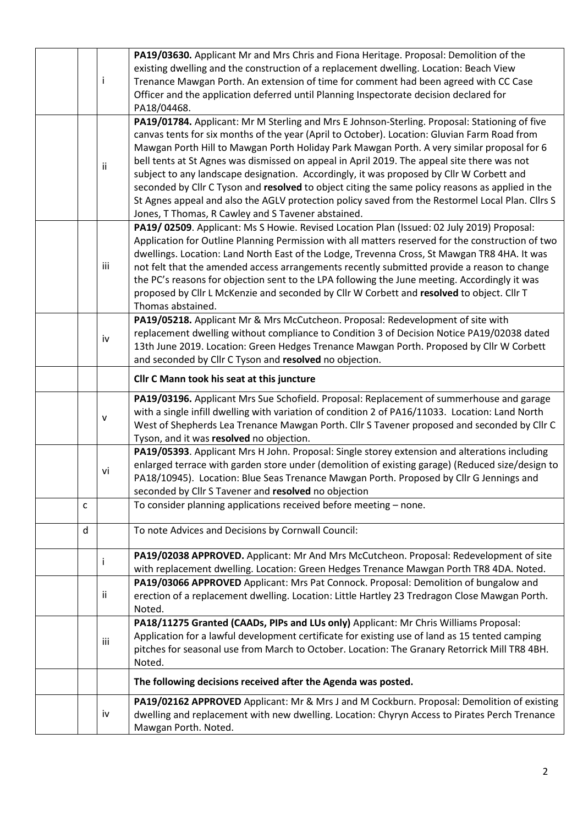|   | Ť            | PA19/03630. Applicant Mr and Mrs Chris and Fiona Heritage. Proposal: Demolition of the<br>existing dwelling and the construction of a replacement dwelling. Location: Beach View<br>Trenance Mawgan Porth. An extension of time for comment had been agreed with CC Case<br>Officer and the application deferred until Planning Inspectorate decision declared for<br>PA18/04468.                                                                                                                                                                                                                                                                                                                                                                    |
|---|--------------|------------------------------------------------------------------------------------------------------------------------------------------------------------------------------------------------------------------------------------------------------------------------------------------------------------------------------------------------------------------------------------------------------------------------------------------------------------------------------------------------------------------------------------------------------------------------------------------------------------------------------------------------------------------------------------------------------------------------------------------------------|
|   | ii.          | PA19/01784. Applicant: Mr M Sterling and Mrs E Johnson-Sterling. Proposal: Stationing of five<br>canvas tents for six months of the year (April to October). Location: Gluvian Farm Road from<br>Mawgan Porth Hill to Mawgan Porth Holiday Park Mawgan Porth. A very similar proposal for 6<br>bell tents at St Agnes was dismissed on appeal in April 2019. The appeal site there was not<br>subject to any landscape designation. Accordingly, it was proposed by Cllr W Corbett and<br>seconded by Cllr C Tyson and resolved to object citing the same policy reasons as applied in the<br>St Agnes appeal and also the AGLV protection policy saved from the Restormel Local Plan. Cllrs S<br>Jones, T Thomas, R Cawley and S Tavener abstained. |
|   | iii          | PA19/02509. Applicant: Ms S Howie. Revised Location Plan (Issued: 02 July 2019) Proposal:<br>Application for Outline Planning Permission with all matters reserved for the construction of two<br>dwellings. Location: Land North East of the Lodge, Trevenna Cross, St Mawgan TR8 4HA. It was<br>not felt that the amended access arrangements recently submitted provide a reason to change<br>the PC's reasons for objection sent to the LPA following the June meeting. Accordingly it was<br>proposed by Cllr L McKenzie and seconded by Cllr W Corbett and resolved to object. Cllr T<br>Thomas abstained.                                                                                                                                     |
|   | iv           | PA19/05218. Applicant Mr & Mrs McCutcheon. Proposal: Redevelopment of site with<br>replacement dwelling without compliance to Condition 3 of Decision Notice PA19/02038 dated<br>13th June 2019. Location: Green Hedges Trenance Mawgan Porth. Proposed by Cllr W Corbett<br>and seconded by Cllr C Tyson and resolved no objection.                                                                                                                                                                                                                                                                                                                                                                                                                 |
|   |              | Cllr C Mann took his seat at this juncture                                                                                                                                                                                                                                                                                                                                                                                                                                                                                                                                                                                                                                                                                                           |
|   | $\mathsf{V}$ | PA19/03196. Applicant Mrs Sue Schofield. Proposal: Replacement of summerhouse and garage<br>with a single infill dwelling with variation of condition 2 of PA16/11033. Location: Land North<br>West of Shepherds Lea Trenance Mawgan Porth. Cllr S Tavener proposed and seconded by Cllr C<br>Tyson, and it was resolved no objection.                                                                                                                                                                                                                                                                                                                                                                                                               |
|   | vi           | PA19/05393. Applicant Mrs H John. Proposal: Single storey extension and alterations including<br>enlarged terrace with garden store under (demolition of existing garage) (Reduced size/design to<br>PA18/10945). Location: Blue Seas Trenance Mawgan Porth. Proposed by Cllr G Jennings and<br>seconded by Cllr S Tavener and resolved no objection                                                                                                                                                                                                                                                                                                                                                                                                 |
| c |              | To consider planning applications received before meeting - none.                                                                                                                                                                                                                                                                                                                                                                                                                                                                                                                                                                                                                                                                                    |
| d |              | To note Advices and Decisions by Cornwall Council:                                                                                                                                                                                                                                                                                                                                                                                                                                                                                                                                                                                                                                                                                                   |
|   |              | PA19/02038 APPROVED. Applicant: Mr And Mrs McCutcheon. Proposal: Redevelopment of site<br>with replacement dwelling. Location: Green Hedges Trenance Mawgan Porth TR8 4DA. Noted.                                                                                                                                                                                                                                                                                                                                                                                                                                                                                                                                                                    |
|   | ii           | PA19/03066 APPROVED Applicant: Mrs Pat Connock. Proposal: Demolition of bungalow and<br>erection of a replacement dwelling. Location: Little Hartley 23 Tredragon Close Mawgan Porth.<br>Noted.                                                                                                                                                                                                                                                                                                                                                                                                                                                                                                                                                      |
|   | iii          | PA18/11275 Granted (CAADs, PIPs and LUs only) Applicant: Mr Chris Williams Proposal:<br>Application for a lawful development certificate for existing use of land as 15 tented camping<br>pitches for seasonal use from March to October. Location: The Granary Retorrick Mill TR8 4BH.<br>Noted.                                                                                                                                                                                                                                                                                                                                                                                                                                                    |
|   |              | The following decisions received after the Agenda was posted.                                                                                                                                                                                                                                                                                                                                                                                                                                                                                                                                                                                                                                                                                        |
|   | iv           | PA19/02162 APPROVED Applicant: Mr & Mrs J and M Cockburn. Proposal: Demolition of existing<br>dwelling and replacement with new dwelling. Location: Chyryn Access to Pirates Perch Trenance<br>Mawgan Porth. Noted.                                                                                                                                                                                                                                                                                                                                                                                                                                                                                                                                  |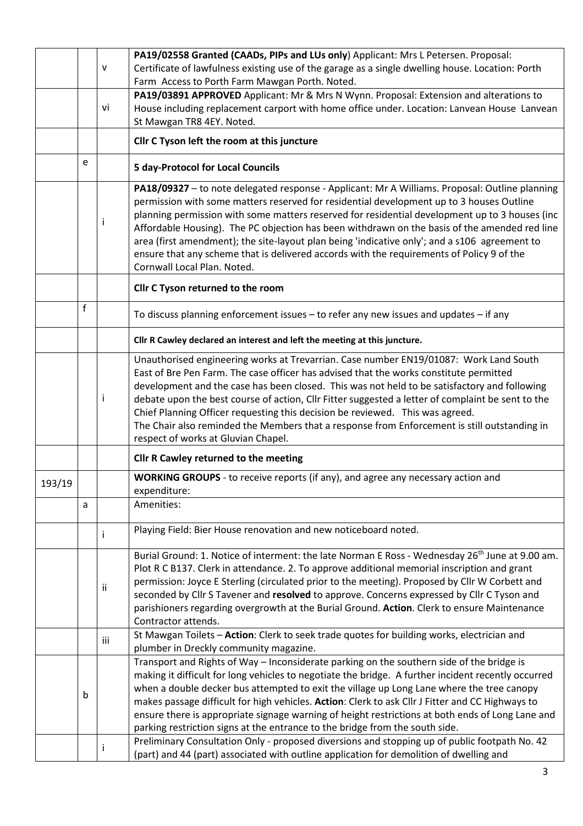|        |   |           | PA19/02558 Granted (CAADs, PIPs and LUs only) Applicant: Mrs L Petersen. Proposal:                                                                                                         |  |  |  |
|--------|---|-----------|--------------------------------------------------------------------------------------------------------------------------------------------------------------------------------------------|--|--|--|
|        |   | ${\sf V}$ | Certificate of lawfulness existing use of the garage as a single dwelling house. Location: Porth                                                                                           |  |  |  |
|        |   |           | Farm Access to Porth Farm Mawgan Porth. Noted.                                                                                                                                             |  |  |  |
|        |   |           | PA19/03891 APPROVED Applicant: Mr & Mrs N Wynn. Proposal: Extension and alterations to                                                                                                     |  |  |  |
|        |   | vi        | House including replacement carport with home office under. Location: Lanvean House Lanvean                                                                                                |  |  |  |
|        |   |           | St Mawgan TR8 4EY. Noted.                                                                                                                                                                  |  |  |  |
|        |   |           |                                                                                                                                                                                            |  |  |  |
|        |   |           | Cllr C Tyson left the room at this juncture                                                                                                                                                |  |  |  |
|        | e |           | <b>5 day-Protocol for Local Councils</b>                                                                                                                                                   |  |  |  |
|        |   |           | PA18/09327 - to note delegated response - Applicant: Mr A Williams. Proposal: Outline planning                                                                                             |  |  |  |
|        |   |           | permission with some matters reserved for residential development up to 3 houses Outline                                                                                                   |  |  |  |
|        |   | Ť         | planning permission with some matters reserved for residential development up to 3 houses (inc                                                                                             |  |  |  |
|        |   |           | Affordable Housing). The PC objection has been withdrawn on the basis of the amended red line                                                                                              |  |  |  |
|        |   |           | area (first amendment); the site-layout plan being 'indicative only'; and a s106 agreement to<br>ensure that any scheme that is delivered accords with the requirements of Policy 9 of the |  |  |  |
|        |   |           | Cornwall Local Plan. Noted.                                                                                                                                                                |  |  |  |
|        |   |           |                                                                                                                                                                                            |  |  |  |
|        |   |           | Cllr C Tyson returned to the room                                                                                                                                                          |  |  |  |
|        | f |           | To discuss planning enforcement issues - to refer any new issues and updates - if any                                                                                                      |  |  |  |
|        |   |           | Cllr R Cawley declared an interest and left the meeting at this juncture.                                                                                                                  |  |  |  |
|        |   |           | Unauthorised engineering works at Trevarrian. Case number EN19/01087: Work Land South                                                                                                      |  |  |  |
|        |   |           | East of Bre Pen Farm. The case officer has advised that the works constitute permitted                                                                                                     |  |  |  |
|        |   |           | development and the case has been closed. This was not held to be satisfactory and following                                                                                               |  |  |  |
|        |   | j.        | debate upon the best course of action, Cllr Fitter suggested a letter of complaint be sent to the                                                                                          |  |  |  |
|        |   |           | Chief Planning Officer requesting this decision be reviewed. This was agreed.                                                                                                              |  |  |  |
|        |   |           | The Chair also reminded the Members that a response from Enforcement is still outstanding in                                                                                               |  |  |  |
|        |   |           | respect of works at Gluvian Chapel.                                                                                                                                                        |  |  |  |
|        |   |           | Cllr R Cawley returned to the meeting                                                                                                                                                      |  |  |  |
| 193/19 |   |           | WORKING GROUPS - to receive reports (if any), and agree any necessary action and<br>expenditure:                                                                                           |  |  |  |
|        | a |           | Amenities:                                                                                                                                                                                 |  |  |  |
|        |   |           | Playing Field: Bier House renovation and new noticeboard noted.                                                                                                                            |  |  |  |
|        |   | Ť         |                                                                                                                                                                                            |  |  |  |
|        |   |           | Burial Ground: 1. Notice of interment: the late Norman E Ross - Wednesday 26 <sup>th</sup> June at 9.00 am.                                                                                |  |  |  |
|        |   |           | Plot R C B137. Clerk in attendance. 2. To approve additional memorial inscription and grant                                                                                                |  |  |  |
|        |   | ii        | permission: Joyce E Sterling (circulated prior to the meeting). Proposed by Cllr W Corbett and                                                                                             |  |  |  |
|        |   |           | seconded by Cllr S Tavener and resolved to approve. Concerns expressed by Cllr C Tyson and                                                                                                 |  |  |  |
|        |   |           | parishioners regarding overgrowth at the Burial Ground. Action. Clerk to ensure Maintenance                                                                                                |  |  |  |
|        |   |           | Contractor attends.                                                                                                                                                                        |  |  |  |
|        |   | iii       | St Mawgan Toilets - Action: Clerk to seek trade quotes for building works, electrician and                                                                                                 |  |  |  |
|        |   |           | plumber in Dreckly community magazine.                                                                                                                                                     |  |  |  |
|        |   |           | Transport and Rights of Way - Inconsiderate parking on the southern side of the bridge is                                                                                                  |  |  |  |
|        |   |           | making it difficult for long vehicles to negotiate the bridge. A further incident recently occurred                                                                                        |  |  |  |
|        | b |           | when a double decker bus attempted to exit the village up Long Lane where the tree canopy                                                                                                  |  |  |  |
|        |   |           | makes passage difficult for high vehicles. Action: Clerk to ask Cllr J Fitter and CC Highways to                                                                                           |  |  |  |
|        |   |           | ensure there is appropriate signage warning of height restrictions at both ends of Long Lane and                                                                                           |  |  |  |
|        |   |           | parking restriction signs at the entrance to the bridge from the south side.                                                                                                               |  |  |  |
|        |   |           | Preliminary Consultation Only - proposed diversions and stopping up of public footpath No. 42                                                                                              |  |  |  |
|        |   |           | (part) and 44 (part) associated with outline application for demolition of dwelling and                                                                                                    |  |  |  |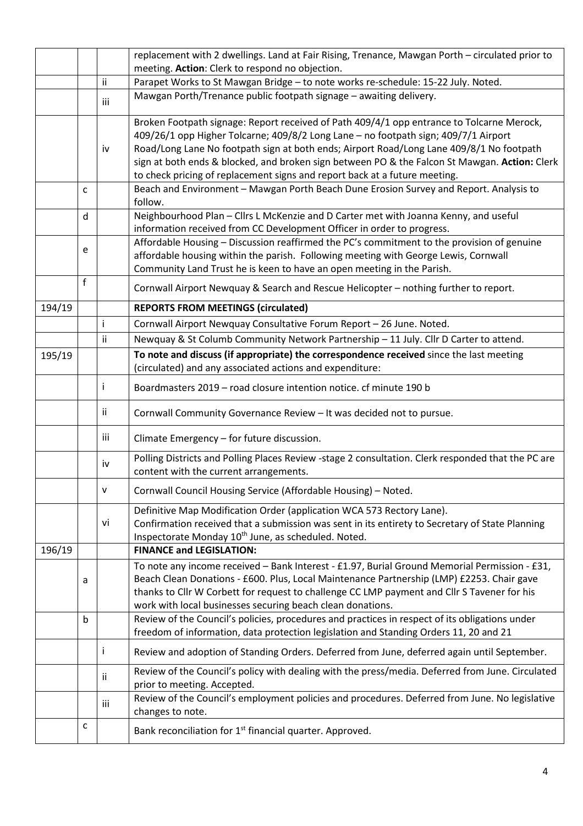|                                                                    |   |                                                                                         | replacement with 2 dwellings. Land at Fair Rising, Trenance, Mawgan Porth - circulated prior to                                                                                                                                                                                                                                                         |  |  |
|--------------------------------------------------------------------|---|-----------------------------------------------------------------------------------------|---------------------------------------------------------------------------------------------------------------------------------------------------------------------------------------------------------------------------------------------------------------------------------------------------------------------------------------------------------|--|--|
|                                                                    |   |                                                                                         | meeting. Action: Clerk to respond no objection.                                                                                                                                                                                                                                                                                                         |  |  |
|                                                                    |   | ii                                                                                      | Parapet Works to St Mawgan Bridge - to note works re-schedule: 15-22 July. Noted.                                                                                                                                                                                                                                                                       |  |  |
|                                                                    |   | iii                                                                                     | Mawgan Porth/Trenance public footpath signage - awaiting delivery.                                                                                                                                                                                                                                                                                      |  |  |
|                                                                    |   | iv                                                                                      | Broken Footpath signage: Report received of Path 409/4/1 opp entrance to Tolcarne Merock,<br>409/26/1 opp Higher Tolcarne; 409/8/2 Long Lane - no footpath sign; 409/7/1 Airport<br>Road/Long Lane No footpath sign at both ends; Airport Road/Long Lane 409/8/1 No footpath                                                                            |  |  |
|                                                                    |   |                                                                                         | sign at both ends & blocked, and broken sign between PO & the Falcon St Mawgan. Action: Clerk<br>to check pricing of replacement signs and report back at a future meeting.                                                                                                                                                                             |  |  |
|                                                                    | c |                                                                                         | Beach and Environment - Mawgan Porth Beach Dune Erosion Survey and Report. Analysis to                                                                                                                                                                                                                                                                  |  |  |
|                                                                    |   |                                                                                         | follow.                                                                                                                                                                                                                                                                                                                                                 |  |  |
|                                                                    | d |                                                                                         | Neighbourhood Plan - Cllrs L McKenzie and D Carter met with Joanna Kenny, and useful                                                                                                                                                                                                                                                                    |  |  |
|                                                                    |   |                                                                                         | information received from CC Development Officer in order to progress.<br>Affordable Housing - Discussion reaffirmed the PC's commitment to the provision of genuine                                                                                                                                                                                    |  |  |
|                                                                    | e |                                                                                         | affordable housing within the parish. Following meeting with George Lewis, Cornwall<br>Community Land Trust he is keen to have an open meeting in the Parish.                                                                                                                                                                                           |  |  |
|                                                                    | f |                                                                                         |                                                                                                                                                                                                                                                                                                                                                         |  |  |
|                                                                    |   |                                                                                         | Cornwall Airport Newquay & Search and Rescue Helicopter - nothing further to report.                                                                                                                                                                                                                                                                    |  |  |
| 194/19                                                             |   |                                                                                         | <b>REPORTS FROM MEETINGS (circulated)</b>                                                                                                                                                                                                                                                                                                               |  |  |
|                                                                    |   |                                                                                         | Cornwall Airport Newquay Consultative Forum Report - 26 June. Noted.                                                                                                                                                                                                                                                                                    |  |  |
|                                                                    |   | ii                                                                                      | Newquay & St Columb Community Network Partnership - 11 July. Cllr D Carter to attend.                                                                                                                                                                                                                                                                   |  |  |
| 195/19<br>(circulated) and any associated actions and expenditure: |   | To note and discuss (if appropriate) the correspondence received since the last meeting |                                                                                                                                                                                                                                                                                                                                                         |  |  |
|                                                                    |   | Ť                                                                                       | Boardmasters 2019 - road closure intention notice. cf minute 190 b                                                                                                                                                                                                                                                                                      |  |  |
|                                                                    |   | ii.                                                                                     | Cornwall Community Governance Review - It was decided not to pursue.                                                                                                                                                                                                                                                                                    |  |  |
|                                                                    |   | iii                                                                                     | Climate Emergency - for future discussion.                                                                                                                                                                                                                                                                                                              |  |  |
|                                                                    |   | iv                                                                                      | Polling Districts and Polling Places Review -stage 2 consultation. Clerk responded that the PC are<br>content with the current arrangements.                                                                                                                                                                                                            |  |  |
|                                                                    |   | $\mathsf{V}$                                                                            | Cornwall Council Housing Service (Affordable Housing) - Noted.                                                                                                                                                                                                                                                                                          |  |  |
|                                                                    |   | vi                                                                                      | Definitive Map Modification Order (application WCA 573 Rectory Lane).<br>Confirmation received that a submission was sent in its entirety to Secretary of State Planning<br>Inspectorate Monday 10 <sup>th</sup> June, as scheduled. Noted.                                                                                                             |  |  |
| 196/19                                                             |   |                                                                                         | <b>FINANCE and LEGISLATION:</b>                                                                                                                                                                                                                                                                                                                         |  |  |
|                                                                    | a |                                                                                         | To note any income received - Bank Interest - £1.97, Burial Ground Memorial Permission - £31,<br>Beach Clean Donations - £600. Plus, Local Maintenance Partnership (LMP) £2253. Chair gave<br>thanks to Cllr W Corbett for request to challenge CC LMP payment and Cllr S Tavener for his<br>work with local businesses securing beach clean donations. |  |  |
|                                                                    | b |                                                                                         | Review of the Council's policies, procedures and practices in respect of its obligations under<br>freedom of information, data protection legislation and Standing Orders 11, 20 and 21                                                                                                                                                                 |  |  |
|                                                                    |   | Ť                                                                                       | Review and adoption of Standing Orders. Deferred from June, deferred again until September.                                                                                                                                                                                                                                                             |  |  |
|                                                                    |   | ii.                                                                                     | Review of the Council's policy with dealing with the press/media. Deferred from June. Circulated<br>prior to meeting. Accepted.                                                                                                                                                                                                                         |  |  |
|                                                                    |   | iii                                                                                     | Review of the Council's employment policies and procedures. Deferred from June. No legislative<br>changes to note.                                                                                                                                                                                                                                      |  |  |
|                                                                    | с |                                                                                         | Bank reconciliation for 1 <sup>st</sup> financial quarter. Approved.                                                                                                                                                                                                                                                                                    |  |  |